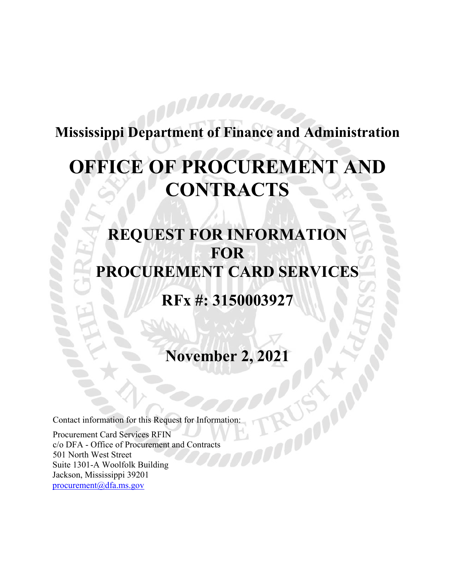## **Mississippi Department of Finance and Administration**

# **OFFICE OF PROCUREMENT AND CONTRACTS**

## **REQUEST FOR INFORMATION FOR PROCUREMENT CARD SERVICES**

## **RFx #: 3150003927**

**November 2, 2021** 

Contact information for this Request for Information:

Procurement Card Services RFIN c/o DFA - Office of Procurement and Contracts 501 North West Street Suite 1301-A Woolfolk Building Jackson, Mississippi 39201 procurement@dfa.ms.gov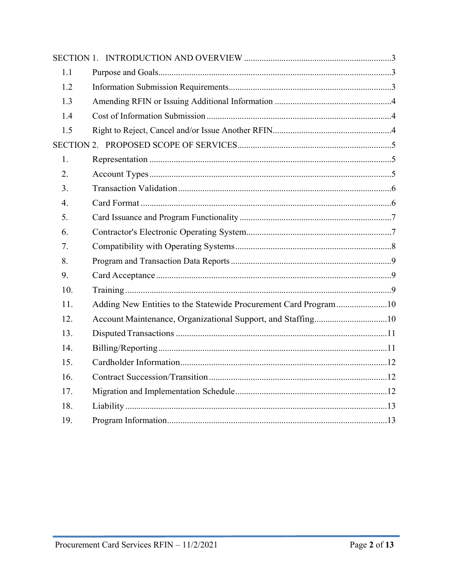| 1.1              |                                                                 |
|------------------|-----------------------------------------------------------------|
| 1.2              |                                                                 |
| 1.3              |                                                                 |
| 1.4              |                                                                 |
| 1.5              |                                                                 |
|                  |                                                                 |
| 1.               |                                                                 |
| 2.               |                                                                 |
| 3.               |                                                                 |
| $\overline{4}$ . |                                                                 |
| 5.               |                                                                 |
| 6.               |                                                                 |
| 7.               |                                                                 |
| 8.               |                                                                 |
| 9.               |                                                                 |
| 10.              |                                                                 |
| 11.              | Adding New Entities to the Statewide Procurement Card Program10 |
| 12.              |                                                                 |
| 13.              |                                                                 |
| 14.              |                                                                 |
| 15.              |                                                                 |
| 16.              |                                                                 |
| 17.              |                                                                 |
| 18.              |                                                                 |
| 19.              |                                                                 |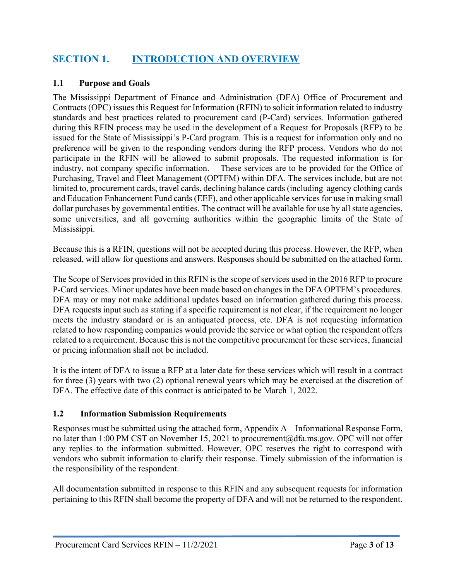#### **SECTION 1. INTRODUCTION AND OVERVIEW**

#### **1.1 Purpose and Goals**

The Mississippi Department of Finance and Administration (DFA) Office of Procurement and Contracts (OPC) issues this Request for Information (RFIN) to solicit information related to industry standards and best practices related to procurement card (P-Card) services. Information gathered during this RFIN process may be used in the development of a Request for Proposals (RFP) to be issued for the State of Mississippi's P-Card program. This is a request for information only and no preference will be given to the responding vendors during the RFP process. Vendors who do not participate in the RFIN will be allowed to submit proposals. The requested information is for industry, not company specific information. These services are to be provided for the Office of Purchasing, Travel and Fleet Management (OPTFM) within DFA. The services include, but are not limited to, procurement cards, travel cards, declining balance cards (including agency clothing cards and Education Enhancement Fund cards (EEF), and other applicable services for use in making small dollar purchases by governmental entities. The contract will be available for use by all state agencies, some universities, and all governing authorities within the geographic limits of the State of Mississippi.

Because this is a RFIN, questions will not be accepted during this process. However, the RFP, when released, will allow for questions and answers. Responses should be submitted on the attached form.

The Scope of Services provided in this RFIN is the scope of services used in the 2016 RFP to procure P-Card services. Minor updates have been made based on changes in the DFA OPTFM's procedures. DFA may or may not make additional updates based on information gathered during this process. DFA requests input such as stating if a specific requirement is not clear, if the requirement no longer meets the industry standard or is an antiquated process, etc. DFA is not requesting information related to how responding companies would provide the service or what option the respondent offers related to a requirement. Because this is not the competitive procurement for these services, financial or pricing information shall not be included.

It is the intent of DFA to issue a RFP at a later date for these services which will result in a contract for three (3) years with two (2) optional renewal years which may be exercised at the discretion of DFA. The effective date of this contract is anticipated to be March 1, 2022.

#### **1.2 Information Submission Requirements**

Responses must be submitted using the attached form, Appendix A – Informational Response Form, no later than 1:00 PM CST on November 15, 2021 to procurement@dfa.ms.gov. OPC will not offer any replies to the information submitted. However, OPC reserves the right to correspond with vendors who submit information to clarify their response. Timely submission of the information is the responsibility of the respondent.

All documentation submitted in response to this RFIN and any subsequent requests for information pertaining to this RFIN shall become the property of DFA and will not be returned to the respondent.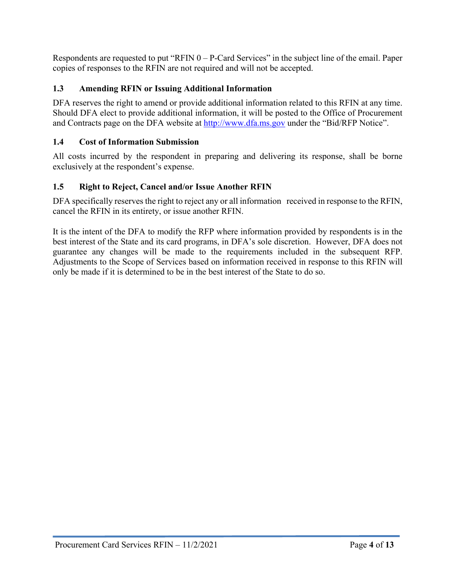Respondents are requested to put "RFIN 0 – P-Card Services" in the subject line of the email. Paper copies of responses to the RFIN are not required and will not be accepted.

#### **1.3 Amending RFIN or Issuing Additional Information**

DFA reserves the right to amend or provide additional information related to this RFIN at any time. Should DFA elect to provide additional information, it will be posted to the Office of Procurement and Contracts page on the DFA website at http://www.dfa.ms.gov under the "Bid/RFP Notice".

#### **1.4 Cost of Information Submission**

All costs incurred by the respondent in preparing and delivering its response, shall be borne exclusively at the respondent's expense.

#### **1.5 Right to Reject, Cancel and/or Issue Another RFIN**

DFA specifically reserves the right to reject any or all information received in response to the RFIN, cancel the RFIN in its entirety, or issue another RFIN.

It is the intent of the DFA to modify the RFP where information provided by respondents is in the best interest of the State and its card programs, in DFA's sole discretion. However, DFA does not guarantee any changes will be made to the requirements included in the subsequent RFP. Adjustments to the Scope of Services based on information received in response to this RFIN will only be made if it is determined to be in the best interest of the State to do so.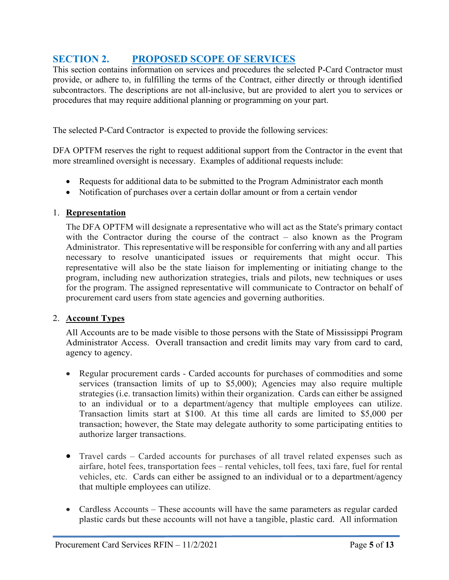#### **SECTION 2. PROPOSED SCOPE OF SERVICES**

This section contains information on services and procedures the selected P-Card Contractor must provide, or adhere to, in fulfilling the terms of the Contract, either directly or through identified subcontractors. The descriptions are not all-inclusive, but are provided to alert you to services or procedures that may require additional planning or programming on your part.

The selected P-Card Contractor is expected to provide the following services:

DFA OPTFM reserves the right to request additional support from the Contractor in the event that more streamlined oversight is necessary. Examples of additional requests include:

- Requests for additional data to be submitted to the Program Administrator each month
- Notification of purchases over a certain dollar amount or from a certain vendor

#### 1. **Representation**

The DFA OPTFM will designate a representative who will act as the State's primary contact with the Contractor during the course of the contract – also known as the Program Administrator. This representative will be responsible for conferring with any and all parties necessary to resolve unanticipated issues or requirements that might occur. This representative will also be the state liaison for implementing or initiating change to the program, including new authorization strategies, trials and pilots, new techniques or uses for the program. The assigned representative will communicate to Contractor on behalf of procurement card users from state agencies and governing authorities.

#### 2. **Account Types**

All Accounts are to be made visible to those persons with the State of Mississippi Program Administrator Access. Overall transaction and credit limits may vary from card to card, agency to agency.

- Regular procurement cards Carded accounts for purchases of commodities and some services (transaction limits of up to \$5,000); Agencies may also require multiple strategies (i.e. transaction limits) within their organization. Cards can either be assigned to an individual or to a department/agency that multiple employees can utilize. Transaction limits start at \$100. At this time all cards are limited to \$5,000 per transaction; however, the State may delegate authority to some participating entities to authorize larger transactions.
- Travel cards Carded accounts for purchases of all travel related expenses such as airfare, hotel fees, transportation fees – rental vehicles, toll fees, taxi fare, fuel for rental vehicles, etc. Cards can either be assigned to an individual or to a department/agency that multiple employees can utilize.
- Cardless Accounts These accounts will have the same parameters as regular carded plastic cards but these accounts will not have a tangible, plastic card. All information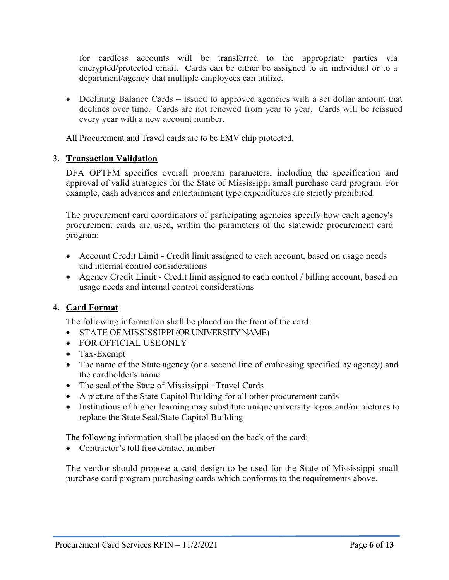for cardless accounts will be transferred to the appropriate parties via encrypted/protected email. Cards can be either be assigned to an individual or to a department/agency that multiple employees can utilize.

• Declining Balance Cards – issued to approved agencies with a set dollar amount that declines over time. Cards are not renewed from year to year. Cards will be reissued every year with a new account number.

All Procurement and Travel cards are to be EMV chip protected.

#### 3. **Transaction Validation**

DFA OPTFM specifies overall program parameters, including the specification and approval of valid strategies for the State of Mississippi small purchase card program. For example, cash advances and entertainment type expenditures are strictly prohibited.

The procurement card coordinators of participating agencies specify how each agency's procurement cards are used, within the parameters of the statewide procurement card program:

- Account Credit Limit Credit limit assigned to each account, based on usage needs and internal control considerations
- Agency Credit Limit Credit limit assigned to each control / billing account, based on usage needs and internal control considerations

#### 4. **Card Format**

The following information shall be placed on the front of the card:

- STATE OF MISSISSIPPI (OR UNIVERSITY NAME)
- FOR OFFICIAL USEONLY
- Tax-Exempt
- The name of the State agency (or a second line of embossing specified by agency) and the cardholder's name
- The seal of the State of Mississippi –Travel Cards
- A picture of the State Capitol Building for all other procurement cards
- Institutions of higher learning may substitute unique university logos and/or pictures to replace the State Seal/State Capitol Building

The following information shall be placed on the back of the card:

• Contractor's toll free contact number

The vendor should propose a card design to be used for the State of Mississippi small purchase card program purchasing cards which conforms to the requirements above.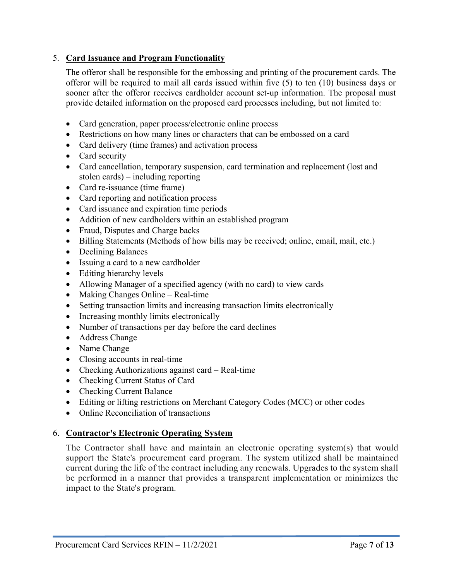#### 5. **Card Issuance and Program Functionality**

The offeror shall be responsible for the embossing and printing of the procurement cards. The offeror will be required to mail all cards issued within five (5) to ten (10) business days or sooner after the offeror receives cardholder account set-up information. The proposal must provide detailed information on the proposed card processes including, but not limited to:

- Card generation, paper process/electronic online process
- Restrictions on how many lines or characters that can be embossed on a card
- Card delivery (time frames) and activation process
- Card security
- Card cancellation, temporary suspension, card termination and replacement (lost and stolen cards) – including reporting
- Card re-issuance (time frame)
- Card reporting and notification process
- Card issuance and expiration time periods
- Addition of new cardholders within an established program
- Fraud, Disputes and Charge backs
- Billing Statements (Methods of how bills may be received; online, email, mail, etc.)
- Declining Balances
- Issuing a card to a new cardholder
- Editing hierarchy levels
- Allowing Manager of a specified agency (with no card) to view cards
- $\bullet$  Making Changes Online Real-time
- Setting transaction limits and increasing transaction limits electronically
- Increasing monthly limits electronically
- Number of transactions per day before the card declines
- Address Change
- Name Change
- Closing accounts in real-time
- Checking Authorizations against card Real-time
- Checking Current Status of Card
- Checking Current Balance
- Editing or lifting restrictions on Merchant Category Codes (MCC) or other codes
- Online Reconciliation of transactions

#### 6. **Contractor's Electronic Operating System**

The Contractor shall have and maintain an electronic operating system(s) that would support the State's procurement card program. The system utilized shall be maintained current during the life of the contract including any renewals. Upgrades to the system shall be performed in a manner that provides a transparent implementation or minimizes the impact to the State's program.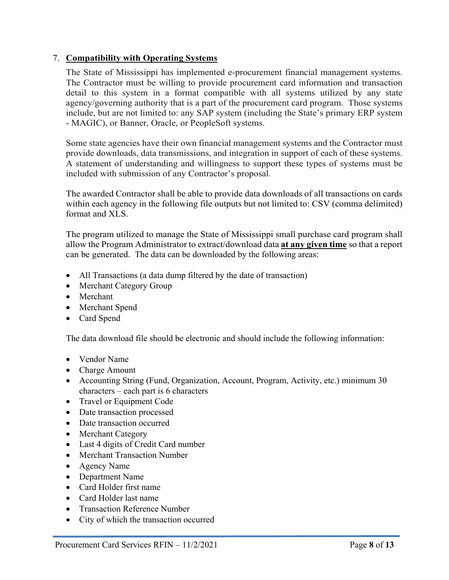#### 7. **Compatibility with Operating Systems**

The State of Mississippi has implemented e-procurement financial management systems. The Contractor must be willing to provide procurement card information and transaction detail to this system in a format compatible with all systems utilized by any state agency/governing authority that is a part of the procurement card program. Those systems include, but are not limited to: any SAP system (including the State's primary ERP system - MAGIC), or Banner, Oracle, or PeopleSoft systems.

Some state agencies have their own financial management systems and the Contractor must provide downloads, data transmissions, and integration in support of each of these systems. A statement of understanding and willingness to support these types of systems must be included with submission of any Contractor's proposal.

The awarded Contractor shall be able to provide data downloads of all transactions on cards within each agency in the following file outputs but not limited to: CSV (comma delimited) format and XLS.

The program utilized to manage the State of Mississippi small purchase card program shall allow the Program Administrator to extract/download data **at any given time** so that a report can be generated. The data can be downloaded by the following areas:

- All Transactions (a data dump filtered by the date of transaction)
- Merchant Category Group
- Merchant
- Merchant Spend
- Card Spend

The data download file should be electronic and should include the following information:

- Vendor Name
- Charge Amount
- Accounting String (Fund, Organization, Account, Program, Activity, etc.) minimum 30 characters – each part is 6 characters
- Travel or Equipment Code
- Date transaction processed
- Date transaction occurred
- Merchant Category
- Last 4 digits of Credit Card number
- Merchant Transaction Number
- Agency Name
- Department Name
- Card Holder first name
- Card Holder last name
- Transaction Reference Number
- City of which the transaction occurred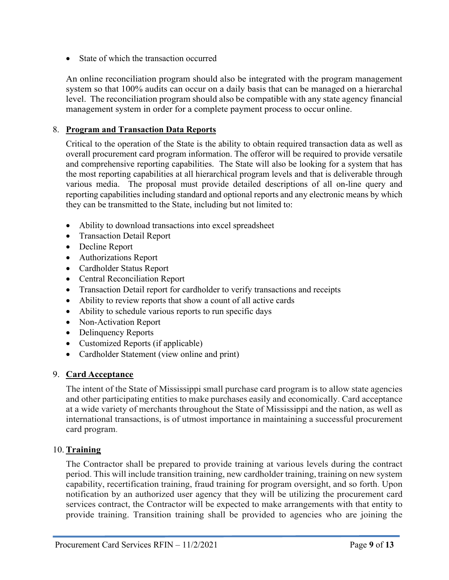State of which the transaction occurred

An online reconciliation program should also be integrated with the program management system so that 100% audits can occur on a daily basis that can be managed on a hierarchal level. The reconciliation program should also be compatible with any state agency financial management system in order for a complete payment process to occur online.

#### 8. **Program and Transaction Data Reports**

Critical to the operation of the State is the ability to obtain required transaction data as well as overall procurement card program information. The offeror will be required to provide versatile and comprehensive reporting capabilities. The State will also be looking for a system that has the most reporting capabilities at all hierarchical program levels and that is deliverable through various media. The proposal must provide detailed descriptions of all on-line query and reporting capabilities including standard and optional reports and any electronic means by which they can be transmitted to the State, including but not limited to:

- Ability to download transactions into excel spreadsheet
- Transaction Detail Report
- Decline Report
- Authorizations Report
- Cardholder Status Report
- Central Reconciliation Report
- Transaction Detail report for cardholder to verify transactions and receipts
- Ability to review reports that show a count of all active cards
- Ability to schedule various reports to run specific days
- Non-Activation Report
- Delinquency Reports
- Customized Reports (if applicable)
- Cardholder Statement (view online and print)

#### 9. **Card Acceptance**

The intent of the State of Mississippi small purchase card program is to allow state agencies and other participating entities to make purchases easily and economically. Card acceptance at a wide variety of merchants throughout the State of Mississippi and the nation, as well as international transactions, is of utmost importance in maintaining a successful procurement card program.

#### 10. **Training**

The Contractor shall be prepared to provide training at various levels during the contract period. This will include transition training, new cardholder training, training on new system capability, recertification training, fraud training for program oversight, and so forth. Upon notification by an authorized user agency that they will be utilizing the procurement card services contract, the Contractor will be expected to make arrangements with that entity to provide training. Transition training shall be provided to agencies who are joining the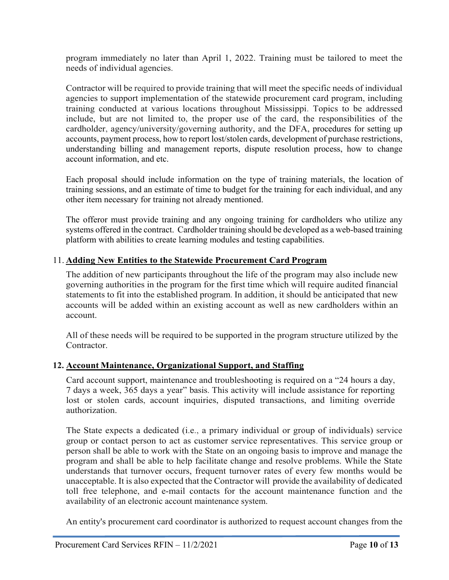program immediately no later than April 1, 2022. Training must be tailored to meet the needs of individual agencies.

Contractor will be required to provide training that will meet the specific needs of individual agencies to support implementation of the statewide procurement card program, including training conducted at various locations throughout Mississippi. Topics to be addressed include, but are not limited to, the proper use of the card, the responsibilities of the cardholder, agency/university/governing authority, and the DFA, procedures for setting up accounts, payment process, how to report lost/stolen cards, development of purchase restrictions, understanding billing and management reports, dispute resolution process, how to change account information, and etc.

Each proposal should include information on the type of training materials, the location of training sessions, and an estimate of time to budget for the training for each individual, and any other item necessary for training not already mentioned.

The offeror must provide training and any ongoing training for cardholders who utilize any systems offered in the contract. Cardholder training should be developed as a web-based training platform with abilities to create learning modules and testing capabilities.

#### 11. **Adding New Entities to the Statewide Procurement Card Program**

The addition of new participants throughout the life of the program may also include new governing authorities in the program for the first time which will require audited financial statements to fit into the established program. In addition, it should be anticipated that new accounts will be added within an existing account as well as new cardholders within an account.

All of these needs will be required to be supported in the program structure utilized by the Contractor.

#### **12. Account Maintenance, Organizational Support, and Staffing**

Card account support, maintenance and troubleshooting is required on a "24 hours a day, 7 days a week, 365 days a year" basis. This activity will include assistance for reporting lost or stolen cards, account inquiries, disputed transactions, and limiting override authorization.

The State expects a dedicated (i.e., a primary individual or group of individuals) service group or contact person to act as customer service representatives. This service group or person shall be able to work with the State on an ongoing basis to improve and manage the program and shall be able to help facilitate change and resolve problems. While the State understands that turnover occurs, frequent turnover rates of every few months would be unacceptable. It is also expected that the Contractor will provide the availability of dedicated toll free telephone, and e-mail contacts for the account maintenance function and the availability of an electronic account maintenance system.

An entity's procurement card coordinator is authorized to request account changes from the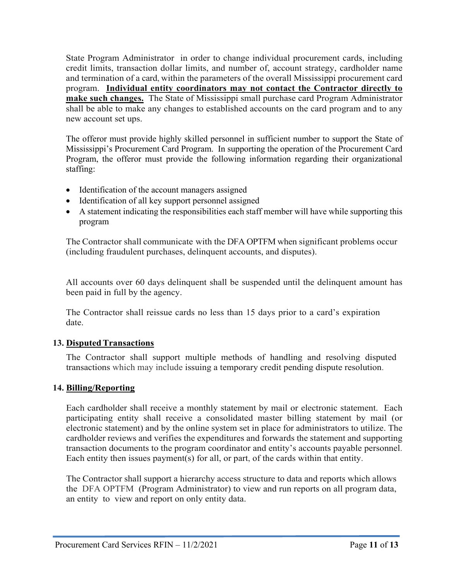State Program Administrator in order to change individual procurement cards, including credit limits, transaction dollar limits, and number of, account strategy, cardholder name and termination of a card, within the parameters of the overall Mississippi procurement card program. **Individual entity coordinators may not contact the Contractor directly to make such changes.** The State of Mississippi small purchase card Program Administrator shall be able to make any changes to established accounts on the card program and to any new account set ups.

The offeror must provide highly skilled personnel in sufficient number to support the State of Mississippi's Procurement Card Program. In supporting the operation of the Procurement Card Program, the offeror must provide the following information regarding their organizational staffing:

- Identification of the account managers assigned
- Identification of all key support personnel assigned
- A statement indicating the responsibilities each staff member will have while supporting this program

The Contractor shall communicate with the DFA OPTFM when significant problems occur (including fraudulent purchases, delinquent accounts, and disputes).

All accounts over 60 days delinquent shall be suspended until the delinquent amount has been paid in full by the agency.

The Contractor shall reissue cards no less than 15 days prior to a card's expiration date.

#### **13. Disputed Transactions**

The Contractor shall support multiple methods of handling and resolving disputed transactions which may include issuing a temporary credit pending dispute resolution.

#### **14. Billing/Reporting**

Each cardholder shall receive a monthly statement by mail or electronic statement. Each participating entity shall receive a consolidated master billing statement by mail (or electronic statement) and by the online system set in place for administrators to utilize. The cardholder reviews and verifies the expenditures and forwards the statement and supporting transaction documents to the program coordinator and entity's accounts payable personnel. Each entity then issues payment(s) for all, or part, of the cards within that entity.

The Contractor shall support a hierarchy access structure to data and reports which allows the DFA OPTFM (Program Administrator) to view and run reports on all program data, an entity to view and report on only entity data.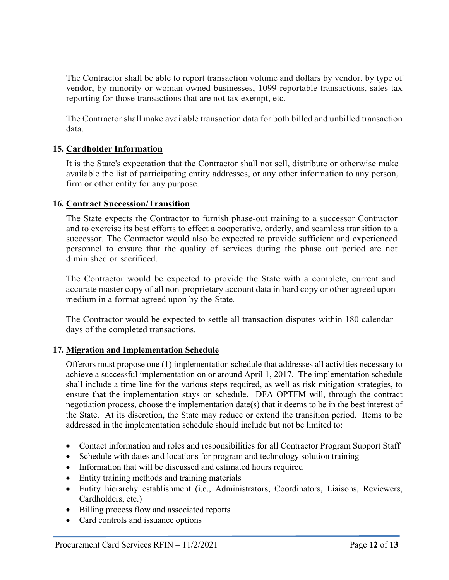The Contractor shall be able to report transaction volume and dollars by vendor, by type of vendor, by minority or woman owned businesses, 1099 reportable transactions, sales tax reporting for those transactions that are not tax exempt, etc.

The Contractor shall make available transaction data for both billed and unbilled transaction data.

#### **15. Cardholder Information**

It is the State's expectation that the Contractor shall not sell, distribute or otherwise make available the list of participating entity addresses, or any other information to any person, firm or other entity for any purpose.

#### **16. Contract Succession/Transition**

The State expects the Contractor to furnish phase-out training to a successor Contractor and to exercise its best efforts to effect a cooperative, orderly, and seamless transition to a successor. The Contractor would also be expected to provide sufficient and experienced personnel to ensure that the quality of services during the phase out period are not diminished or sacrificed.

The Contractor would be expected to provide the State with a complete, current and accurate master copy of all non-proprietary account data in hard copy or other agreed upon medium in a format agreed upon by the State.

The Contractor would be expected to settle all transaction disputes within 180 calendar days of the completed transactions.

#### **17. Migration and Implementation Schedule**

Offerors must propose one (1) implementation schedule that addresses all activities necessary to achieve a successful implementation on or around April 1, 2017. The implementation schedule shall include a time line for the various steps required, as well as risk mitigation strategies, to ensure that the implementation stays on schedule. DFA OPTFM will, through the contract negotiation process, choose the implementation date(s) that it deems to be in the best interest of the State. At its discretion, the State may reduce or extend the transition period. Items to be addressed in the implementation schedule should include but not be limited to:

- Contact information and roles and responsibilities for all Contractor Program Support Staff
- Schedule with dates and locations for program and technology solution training
- Information that will be discussed and estimated hours required
- Entity training methods and training materials
- Entity hierarchy establishment (i.e., Administrators, Coordinators, Liaisons, Reviewers, Cardholders, etc.)
- Billing process flow and associated reports
- Card controls and issuance options